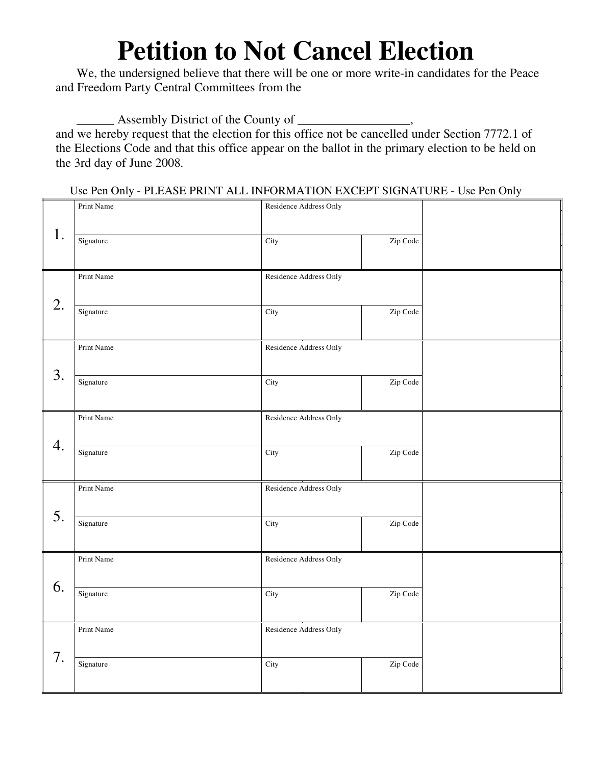## **Petition to Not Cancel Election**

We, the undersigned believe that there will be one or more write-in candidates for the Peace and Freedom Party Central Committees from the

 $\Box$  Assembly District of the County of  $\Box$ 

and we hereby request that the election for this office not be cancelled under Section 7772.1 of the Elections Code and that this office appear on the ballot in the primary election to be held on the 3rd day of June 2008.

Use Pen Only - PLEASE PRINT ALL INFORMATION EXCEPT SIGNATURE - Use Pen Only

|    | Print Name | Residence Address Only |          |  |
|----|------------|------------------------|----------|--|
| 1. |            |                        |          |  |
|    | Signature  | City                   | Zip Code |  |
|    |            |                        |          |  |
|    | Print Name | Residence Address Only |          |  |
| 2. |            |                        |          |  |
|    | Signature  | City                   | Zip Code |  |
|    |            |                        |          |  |
|    | Print Name | Residence Address Only |          |  |
| 3. |            |                        |          |  |
|    | Signature  | City                   | Zip Code |  |
|    |            |                        |          |  |
|    |            |                        |          |  |
| 4. | Print Name | Residence Address Only |          |  |
|    |            |                        |          |  |
|    | Signature  | City                   | Zip Code |  |
|    |            |                        |          |  |
| 5. | Print Name | Residence Address Only |          |  |
|    |            |                        |          |  |
|    | Signature  | City                   | Zip Code |  |
|    |            |                        |          |  |
| 6. | Print Name | Residence Address Only |          |  |
|    |            |                        |          |  |
|    | Signature  | City                   | Zip Code |  |
|    |            |                        |          |  |
| 7. | Print Name | Residence Address Only |          |  |
|    |            |                        |          |  |
|    | Signature  | City                   | Zip Code |  |
|    |            |                        |          |  |
|    |            |                        |          |  |